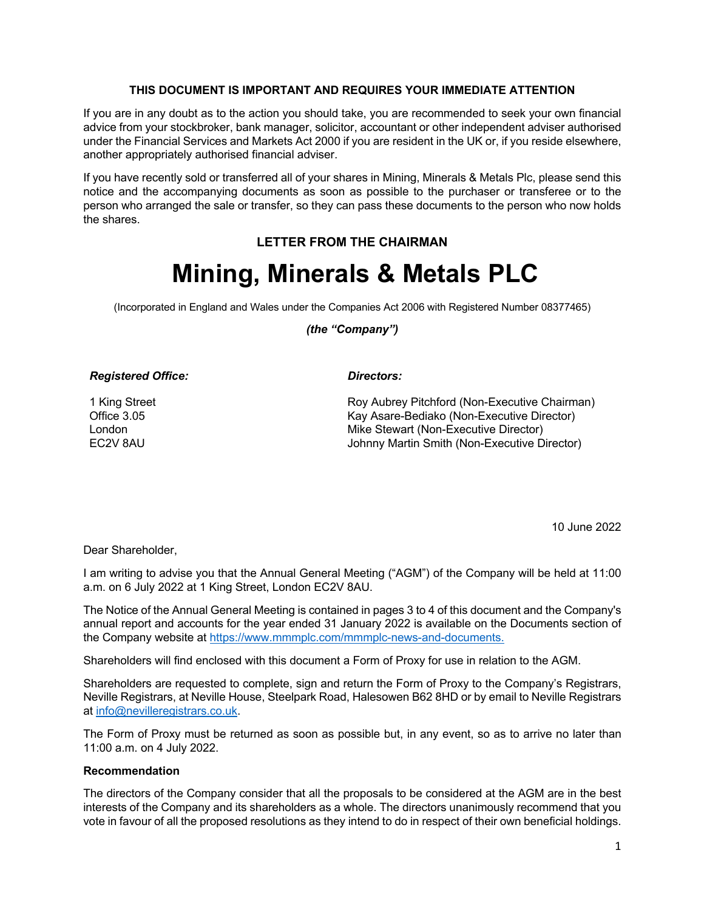### **THIS DOCUMENT IS IMPORTANT AND REQUIRES YOUR IMMEDIATE ATTENTION**

If you are in any doubt as to the action you should take, you are recommended to seek your own financial advice from your stockbroker, bank manager, solicitor, accountant or other independent adviser authorised under the Financial Services and Markets Act 2000 if you are resident in the UK or, if you reside elsewhere, another appropriately authorised financial adviser.

If you have recently sold or transferred all of your shares in Mining, Minerals & Metals Plc, please send this notice and the accompanying documents as soon as possible to the purchaser or transferee or to the person who arranged the sale or transfer, so they can pass these documents to the person who now holds the shares.

# **LETTER FROM THE CHAIRMAN**

# **Mining, Minerals & Metals PLC**

(Incorporated in England and Wales under the Companies Act 2006 with Registered Number 08377465)

# *(the "Company")*

### *Registered Office: Directors:*

1 King Street Office 3.05 London EC2V 8AU

Roy Aubrey Pitchford (Non-Executive Chairman) Kay Asare-Bediako (Non-Executive Director) Mike Stewart (Non-Executive Director) Johnny Martin Smith (Non-Executive Director)

10 June 2022

Dear Shareholder,

I am writing to advise you that the Annual General Meeting ("AGM") of the Company will be held at 11:00 a.m. on 6 July 2022 at 1 King Street, London EC2V 8AU.

The Notice of the Annual General Meeting is contained in pages 3 to 4 of this document and the Company's annual report and accounts for the year ended 31 January 2022 is available on the Documents section of the Company website at https://www.mmmplc.com/mmmplc-news-and-documents.

Shareholders will find enclosed with this document a Form of Proxy for use in relation to the AGM.

Shareholders are requested to complete, sign and return the Form of Proxy to the Company's Registrars, Neville Registrars, at Neville House, Steelpark Road, Halesowen B62 8HD or by email to Neville Registrars at info@nevilleregistrars.co.uk.

The Form of Proxy must be returned as soon as possible but, in any event, so as to arrive no later than 11:00 a.m. on 4 July 2022.

# **Recommendation**

The directors of the Company consider that all the proposals to be considered at the AGM are in the best interests of the Company and its shareholders as a whole. The directors unanimously recommend that you vote in favour of all the proposed resolutions as they intend to do in respect of their own beneficial holdings.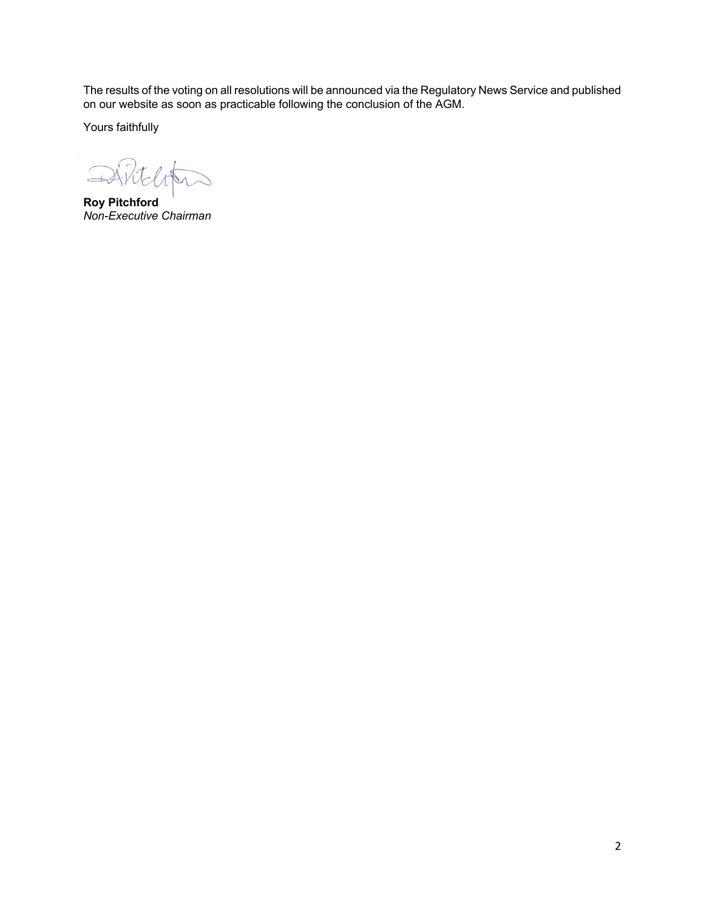The results of the voting on all resolutions will be announced via the Regulatory News Service and published on our website as soon as practicable following the conclusion of the AGM.

Yours faithfully

DARteloten

**Roy Pitchford** *Non-Executive Chairman*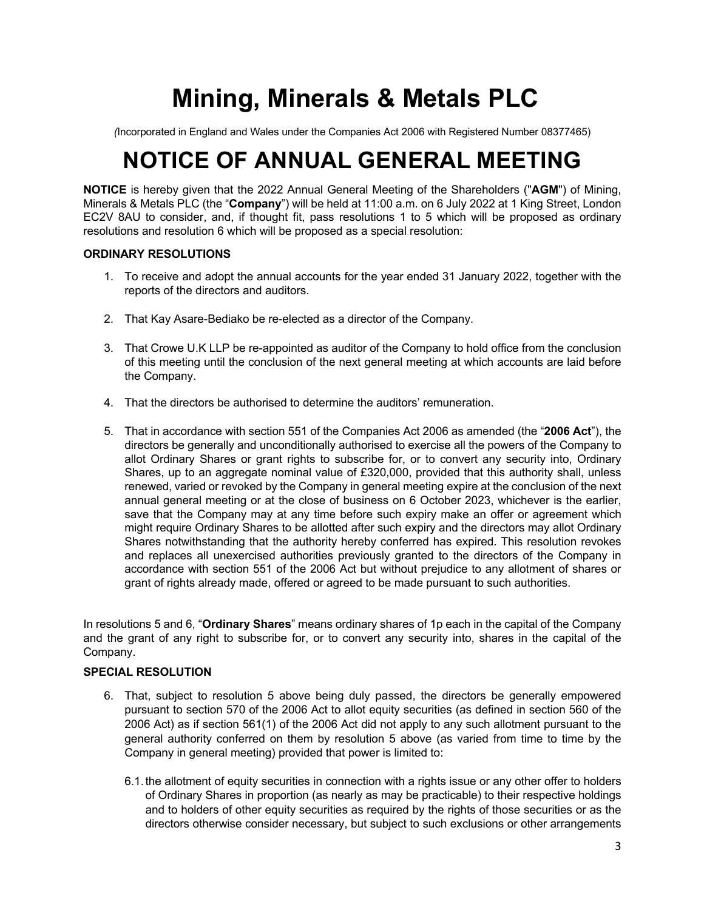# **Mining, Minerals & Metals PLC**

*(*Incorporated in England and Wales under the Companies Act 2006 with Registered Number 08377465)

# **NOTICE OF ANNUAL GENERAL MEETING**

**NOTICE** is hereby given that the 2022 Annual General Meeting of the Shareholders ("**AGM**") of Mining, Minerals & Metals PLC (the "**Company**") will be held at 11:00 a.m. on 6 July 2022 at 1 King Street, London EC2V 8AU to consider, and, if thought fit, pass resolutions 1 to 5 which will be proposed as ordinary resolutions and resolution 6 which will be proposed as a special resolution:

# **ORDINARY RESOLUTIONS**

- 1. To receive and adopt the annual accounts for the year ended 31 January 2022, together with the reports of the directors and auditors.
- 2. That Kay Asare-Bediako be re-elected as a director of the Company.
- 3. That Crowe U.K LLP be re-appointed as auditor of the Company to hold office from the conclusion of this meeting until the conclusion of the next general meeting at which accounts are laid before the Company.
- 4. That the directors be authorised to determine the auditors' remuneration.
- 5. That in accordance with section 551 of the Companies Act 2006 as amended (the "**2006 Act**"), the directors be generally and unconditionally authorised to exercise all the powers of the Company to allot Ordinary Shares or grant rights to subscribe for, or to convert any security into, Ordinary Shares, up to an aggregate nominal value of £320,000, provided that this authority shall, unless renewed, varied or revoked by the Company in general meeting expire at the conclusion of the next annual general meeting or at the close of business on 6 October 2023, whichever is the earlier, save that the Company may at any time before such expiry make an offer or agreement which might require Ordinary Shares to be allotted after such expiry and the directors may allot Ordinary Shares notwithstanding that the authority hereby conferred has expired. This resolution revokes and replaces all unexercised authorities previously granted to the directors of the Company in accordance with section 551 of the 2006 Act but without prejudice to any allotment of shares or grant of rights already made, offered or agreed to be made pursuant to such authorities.

In resolutions 5 and 6, "**Ordinary Shares**" means ordinary shares of 1p each in the capital of the Company and the grant of any right to subscribe for, or to convert any security into, shares in the capital of the Company.

# **SPECIAL RESOLUTION**

- 6. That, subject to resolution 5 above being duly passed, the directors be generally empowered pursuant to section 570 of the 2006 Act to allot equity securities (as defined in section 560 of the 2006 Act) as if section 561(1) of the 2006 Act did not apply to any such allotment pursuant to the general authority conferred on them by resolution 5 above (as varied from time to time by the Company in general meeting) provided that power is limited to:
	- 6.1.the allotment of equity securities in connection with a rights issue or any other offer to holders of Ordinary Shares in proportion (as nearly as may be practicable) to their respective holdings and to holders of other equity securities as required by the rights of those securities or as the directors otherwise consider necessary, but subject to such exclusions or other arrangements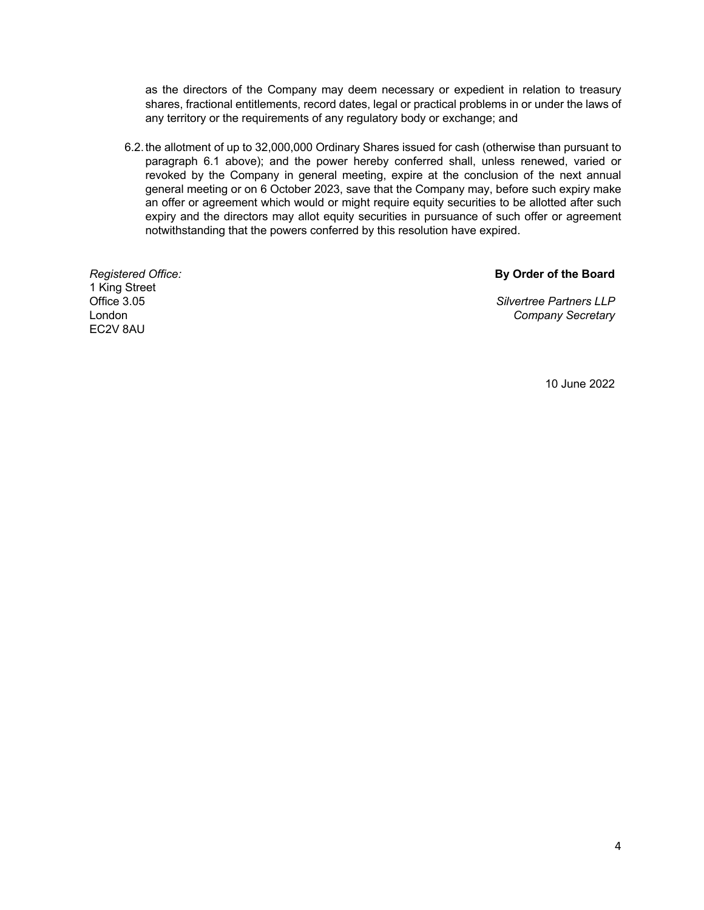as the directors of the Company may deem necessary or expedient in relation to treasury shares, fractional entitlements, record dates, legal or practical problems in or under the laws of any territory or the requirements of any regulatory body or exchange; and

6.2.the allotment of up to 32,000,000 Ordinary Shares issued for cash (otherwise than pursuant to paragraph 6.1 above); and the power hereby conferred shall, unless renewed, varied or revoked by the Company in general meeting, expire at the conclusion of the next annual general meeting or on 6 October 2023, save that the Company may, before such expiry make an offer or agreement which would or might require equity securities to be allotted after such expiry and the directors may allot equity securities in pursuance of such offer or agreement notwithstanding that the powers conferred by this resolution have expired.

*Registered Office:* 1 King Street Office 3.05 London EC2V 8AU

### **By Order of the Board**

*Silvertree Partners LLP Company Secretary*

10 June 2022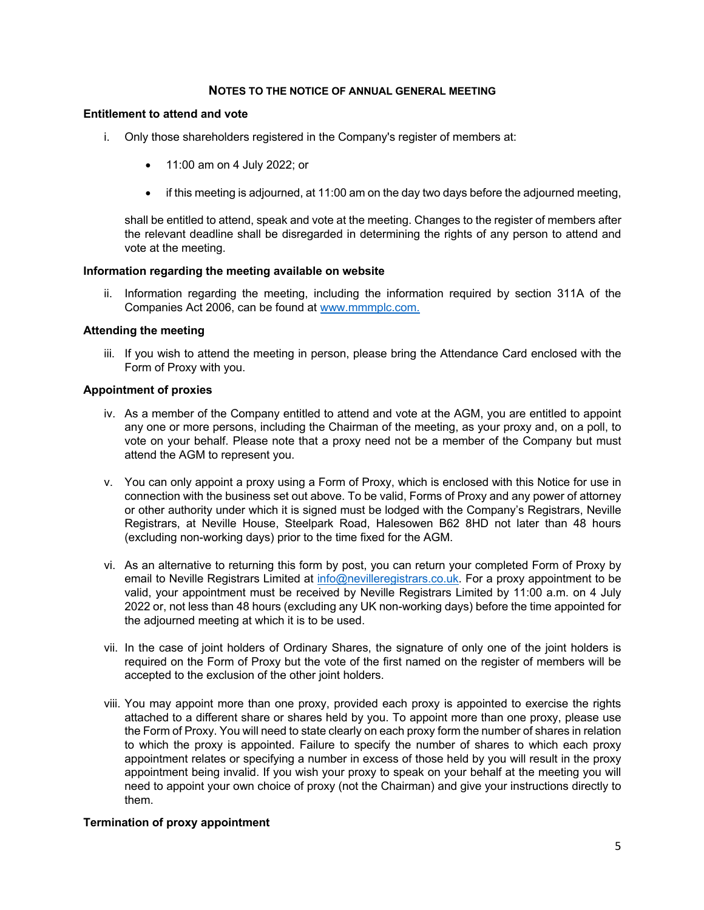#### **NOTES TO THE NOTICE OF ANNUAL GENERAL MEETING**

#### **Entitlement to attend and vote**

- i. Only those shareholders registered in the Company's register of members at:
	- 11:00 am on 4 July 2022; or
	- if this meeting is adjourned, at 11:00 am on the day two days before the adjourned meeting,

shall be entitled to attend, speak and vote at the meeting. Changes to the register of members after the relevant deadline shall be disregarded in determining the rights of any person to attend and vote at the meeting.

#### **Information regarding the meeting available on website**

ii. Information regarding the meeting, including the information required by section 311A of the Companies Act 2006, can be found at www.mmmplc.com.

#### **Attending the meeting**

iii. If you wish to attend the meeting in person, please bring the Attendance Card enclosed with the Form of Proxy with you.

#### **Appointment of proxies**

- iv. As a member of the Company entitled to attend and vote at the AGM, you are entitled to appoint any one or more persons, including the Chairman of the meeting, as your proxy and, on a poll, to vote on your behalf. Please note that a proxy need not be a member of the Company but must attend the AGM to represent you.
- v. You can only appoint a proxy using a Form of Proxy, which is enclosed with this Notice for use in connection with the business set out above. To be valid, Forms of Proxy and any power of attorney or other authority under which it is signed must be lodged with the Company's Registrars, Neville Registrars, at Neville House, Steelpark Road, Halesowen B62 8HD not later than 48 hours (excluding non-working days) prior to the time fixed for the AGM.
- vi. As an alternative to returning this form by post, you can return your completed Form of Proxy by email to Neville Registrars Limited at info@nevilleregistrars.co.uk. For a proxy appointment to be valid, your appointment must be received by Neville Registrars Limited by 11:00 a.m. on 4 July 2022 or, not less than 48 hours (excluding any UK non-working days) before the time appointed for the adjourned meeting at which it is to be used.
- vii. In the case of joint holders of Ordinary Shares, the signature of only one of the joint holders is required on the Form of Proxy but the vote of the first named on the register of members will be accepted to the exclusion of the other joint holders.
- viii. You may appoint more than one proxy, provided each proxy is appointed to exercise the rights attached to a different share or shares held by you. To appoint more than one proxy, please use the Form of Proxy. You will need to state clearly on each proxy form the number of shares in relation to which the proxy is appointed. Failure to specify the number of shares to which each proxy appointment relates or specifying a number in excess of those held by you will result in the proxy appointment being invalid. If you wish your proxy to speak on your behalf at the meeting you will need to appoint your own choice of proxy (not the Chairman) and give your instructions directly to them.

#### **Termination of proxy appointment**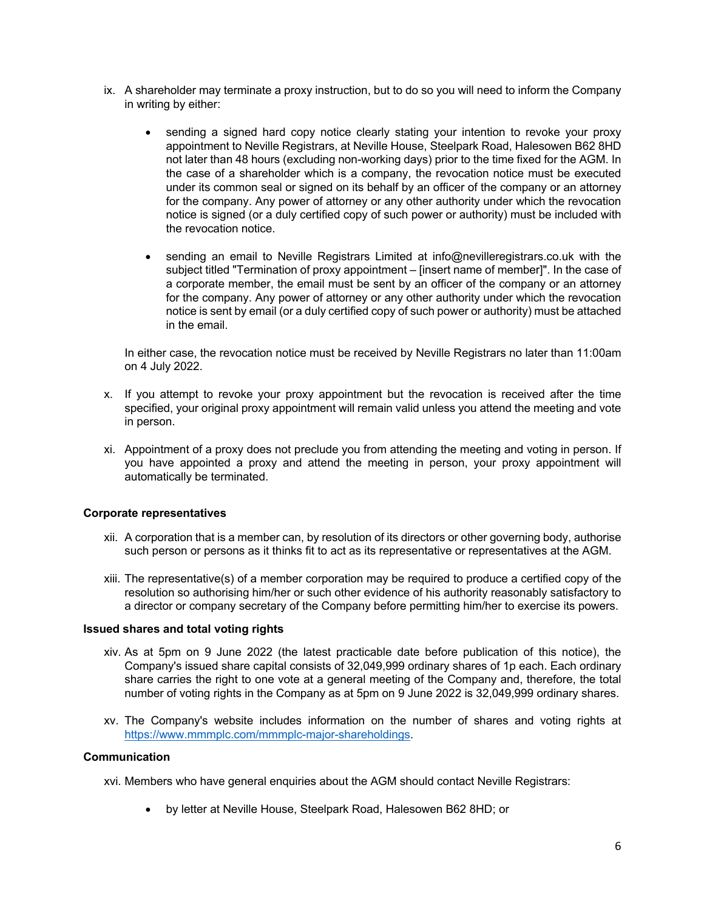- ix. A shareholder may terminate a proxy instruction, but to do so you will need to inform the Company in writing by either:
	- sending a signed hard copy notice clearly stating your intention to revoke your proxy appointment to Neville Registrars, at Neville House, Steelpark Road, Halesowen B62 8HD not later than 48 hours (excluding non-working days) prior to the time fixed for the AGM. In the case of a shareholder which is a company, the revocation notice must be executed under its common seal or signed on its behalf by an officer of the company or an attorney for the company. Any power of attorney or any other authority under which the revocation notice is signed (or a duly certified copy of such power or authority) must be included with the revocation notice.
	- sending an email to Neville Registrars Limited at info@nevilleregistrars.co.uk with the subject titled "Termination of proxy appointment – [insert name of member]". In the case of a corporate member, the email must be sent by an officer of the company or an attorney for the company. Any power of attorney or any other authority under which the revocation notice is sent by email (or a duly certified copy of such power or authority) must be attached in the email.

In either case, the revocation notice must be received by Neville Registrars no later than 11:00am on 4 July 2022.

- x. If you attempt to revoke your proxy appointment but the revocation is received after the time specified, your original proxy appointment will remain valid unless you attend the meeting and vote in person.
- xi. Appointment of a proxy does not preclude you from attending the meeting and voting in person. If you have appointed a proxy and attend the meeting in person, your proxy appointment will automatically be terminated.

#### **Corporate representatives**

- xii. A corporation that is a member can, by resolution of its directors or other governing body, authorise such person or persons as it thinks fit to act as its representative or representatives at the AGM.
- xiii. The representative(s) of a member corporation may be required to produce a certified copy of the resolution so authorising him/her or such other evidence of his authority reasonably satisfactory to a director or company secretary of the Company before permitting him/her to exercise its powers.

#### **Issued shares and total voting rights**

- xiv. As at 5pm on 9 June 2022 (the latest practicable date before publication of this notice), the Company's issued share capital consists of 32,049,999 ordinary shares of 1p each. Each ordinary share carries the right to one vote at a general meeting of the Company and, therefore, the total number of voting rights in the Company as at 5pm on 9 June 2022 is 32,049,999 ordinary shares.
- xv. The Company's website includes information on the number of shares and voting rights at https://www.mmmplc.com/mmmplc-major-shareholdings.

# **Communication**

xvi. Members who have general enquiries about the AGM should contact Neville Registrars:

• by letter at Neville House, Steelpark Road, Halesowen B62 8HD; or